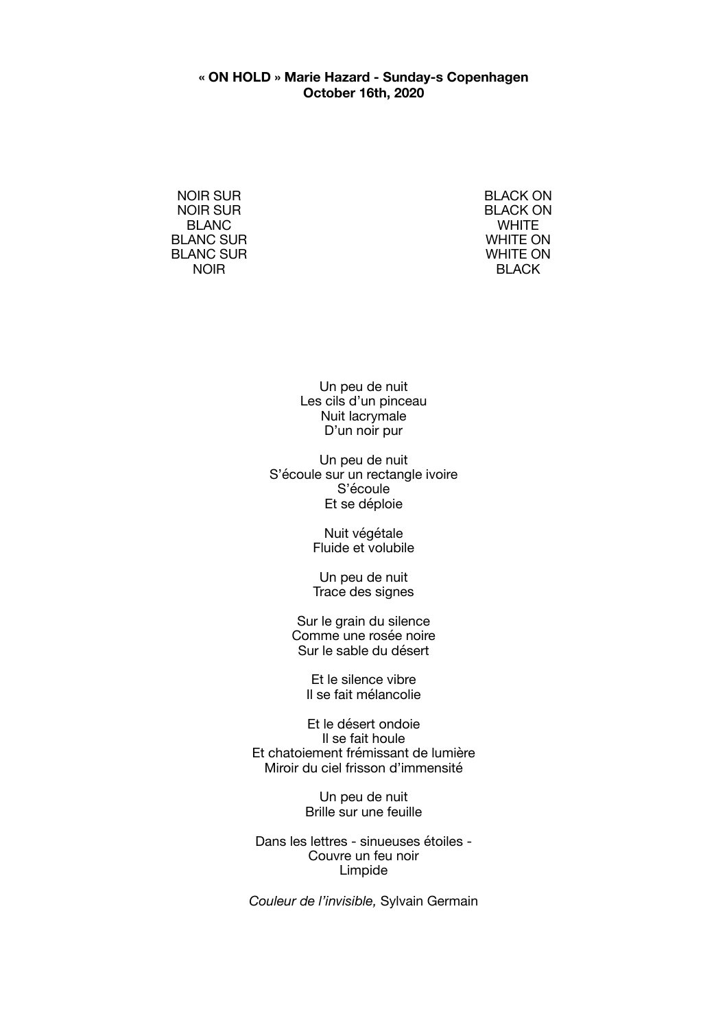## **« ON HOLD » Marie Hazard - Sunday-s Copenhagen October 16th, 2020**

NOIR SUR NOIR SUR BLANC BLANC SUR BLANC SUR NOIR

BLACK ON BLACK ON **WHITE** WHITE ON WHITE ON BLACK

Un peu de nuit Les cils d'un pinceau Nuit lacrymale D'un noir pur

Un peu de nuit S'écoule sur un rectangle ivoire S'écoule Et se déploie

> Nuit végétale Fluide et volubile

> Un peu de nuit Trace des signes

Sur le grain du silence Comme une rosée noire Sur le sable du désert

Et le silence vibre Il se fait mélancolie

Et le désert ondoie Il se fait houle Et chatoiement frémissant de lumière Miroir du ciel frisson d'immensité

> Un peu de nuit Brille sur une feuille

Dans les lettres - sinueuses étoiles - Couvre un feu noir Limpide

*Couleur de l'invisible,* Sylvain Germain